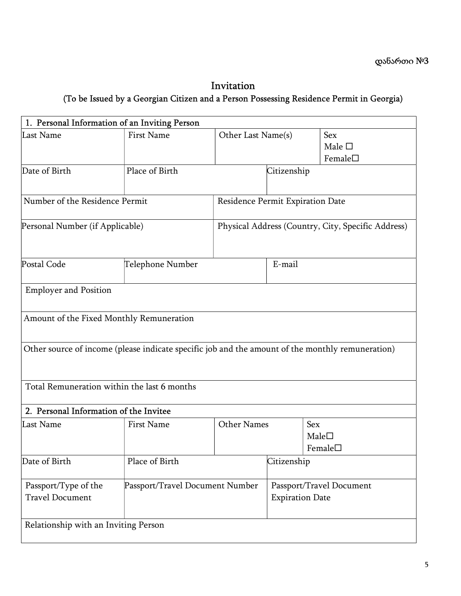## Invitation (To be Issued by a Georgian Citizen and a Person Possessing Residence Permit in Georgia)

| 1. Personal Information of an Inviting Person                                                    |                                 |                                                    |                          |                  |
|--------------------------------------------------------------------------------------------------|---------------------------------|----------------------------------------------------|--------------------------|------------------|
| Last Name                                                                                        | <b>First Name</b>               | Other Last Name(s)                                 |                          | Sex              |
|                                                                                                  |                                 |                                                    |                          | Male $\square$   |
|                                                                                                  |                                 |                                                    |                          | Female $\square$ |
| Date of Birth                                                                                    | Place of Birth                  |                                                    | Citizenship              |                  |
| Number of the Residence Permit                                                                   |                                 | Residence Permit Expiration Date                   |                          |                  |
| Personal Number (if Applicable)                                                                  |                                 | Physical Address (Country, City, Specific Address) |                          |                  |
| Postal Code                                                                                      | Telephone Number                |                                                    | E-mail                   |                  |
| <b>Employer and Position</b>                                                                     |                                 |                                                    |                          |                  |
| Amount of the Fixed Monthly Remuneration                                                         |                                 |                                                    |                          |                  |
| Other source of income (please indicate specific job and the amount of the monthly remuneration) |                                 |                                                    |                          |                  |
| Total Remuneration within the last 6 months                                                      |                                 |                                                    |                          |                  |
| 2. Personal Information of the Invitee                                                           |                                 |                                                    |                          |                  |
| Last Name                                                                                        | <b>First Name</b>               | Other Names                                        |                          | Sex              |
|                                                                                                  |                                 |                                                    |                          | Male             |
|                                                                                                  |                                 |                                                    |                          | Female $\square$ |
| Date of Birth                                                                                    | Place of Birth                  |                                                    | Citizenship              |                  |
| Passport/Type of the                                                                             | Passport/Travel Document Number |                                                    | Passport/Travel Document |                  |
| <b>Travel Document</b>                                                                           |                                 |                                                    | <b>Expiration Date</b>   |                  |
| Relationship with an Inviting Person                                                             |                                 |                                                    |                          |                  |